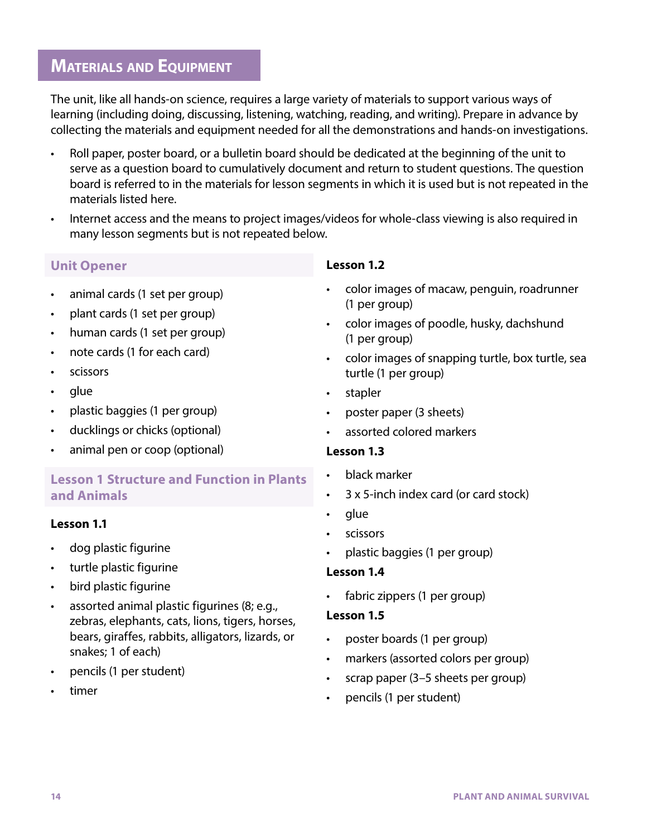# **MATERIALS AND EQUIPMENT**

The unit, like all hands-on science, requires a large variety of materials to support various ways of learning (including doing, discussing, listening, watching, reading, and writing). Prepare in advance by collecting the materials and equipment needed for all the demonstrations and hands-on investigations.

- Roll paper, poster board, or a bulletin board should be dedicated at the beginning of the unit to serve as a question board to cumulatively document and return to student questions. The question board is referred to in the materials for lesson segments in which it is used but is not repeated in the materials listed here.
- Internet access and the means to project images/videos for whole-class viewing is also required in many lesson segments but is not repeated below.

# **Unit Opener**

- animal cards (1 set per group)
- plant cards (1 set per group)
- human cards (1 set per group)
- note cards (1 for each card)
- scissors
- glue
- plastic baggies (1 per group)
- ducklings or chicks (optional)
- animal pen or coop (optional)

# **Lesson 1 Structure and Function in Plants and Animals**

# **Lesson 1.1**

- dog plastic figurine
- turtle plastic figurine
- bird plastic figurine
- assorted animal plastic figurines (8; e.g., zebras, elephants, cats, lions, tigers, horses, bears, giraffes, rabbits, alligators, lizards, or snakes; 1 of each)
- pencils (1 per student)
- timer

# **Lesson 1.2**

- color images of macaw, penguin, roadrunner (1 per group)
- color images of poodle, husky, dachshund (1 per group)
- color images of snapping turtle, box turtle, sea turtle (1 per group)
- stapler
- poster paper (3 sheets)
- assorted colored markers

#### **Lesson 1.3**

- black marker
- 3 x 5-inch index card (or card stock)
- glue
- scissors
- plastic baggies (1 per group)

#### **Lesson 1.4**

fabric zippers (1 per group)

#### **Lesson 1.5**

- poster boards (1 per group)
- markers (assorted colors per group)
- scrap paper (3–5 sheets per group)
- pencils (1 per student)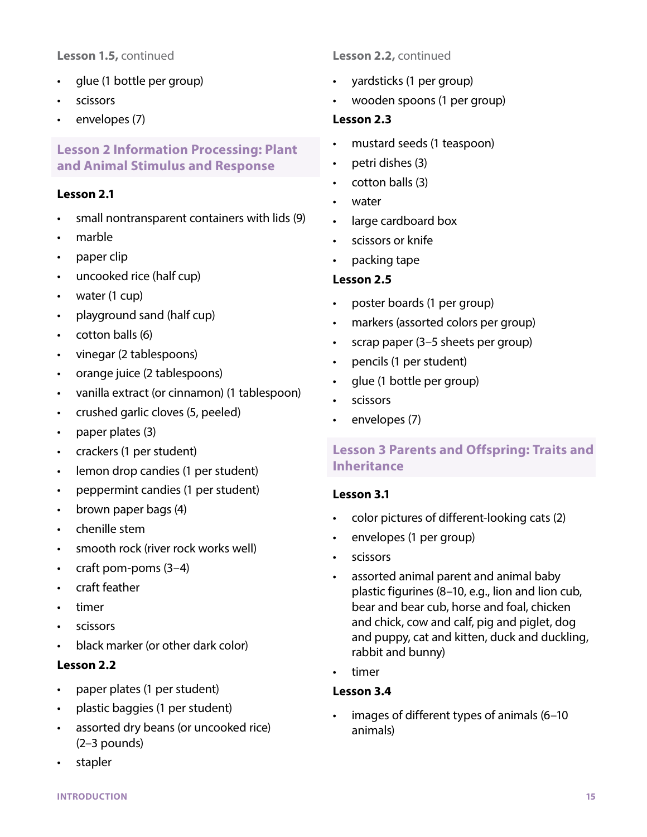### **Lesson 1.5,** continued

- glue (1 bottle per group)
- scissors
- envelopes (7)

# **Lesson 2 Information Processing: Plant and Animal Stimulus and Response**

### **Lesson 2.1**

- small nontransparent containers with lids (9)
- marble
- paper clip
- uncooked rice (half cup)
- water (1 cup)
- playground sand (half cup)
- cotton balls (6)
- vinegar (2 tablespoons)
- orange juice (2 tablespoons)
- vanilla extract (or cinnamon) (1 tablespoon)
- crushed garlic cloves (5, peeled)
- paper plates (3)
- crackers (1 per student)
- lemon drop candies (1 per student)
- peppermint candies (1 per student)
- brown paper bags (4)
- chenille stem
- smooth rock (river rock works well)
- craft pom-poms (3–4)
- craft feather
- timer
- scissors
- black marker (or other dark color)

# **Lesson 2.2**

- paper plates (1 per student)
- plastic baggies (1 per student)
- assorted dry beans (or uncooked rice) (2–3 pounds)
- stapler

### **Lesson 2.2,** continued

- yardsticks (1 per group)
- wooden spoons (1 per group)

#### **Lesson 2.3**

- mustard seeds (1 teaspoon)
- petri dishes (3)
- cotton balls (3)
- water
- large cardboard box
- scissors or knife
- packing tape

### **Lesson 2.5**

- poster boards (1 per group)
- markers (assorted colors per group)
- scrap paper (3–5 sheets per group)
- pencils (1 per student)
- glue (1 bottle per group)
- scissors
- envelopes (7)

# **Lesson 3 Parents and Offspring: Traits and Inheritance**

#### **Lesson 3.1**

- color pictures of different-looking cats (2)
- envelopes (1 per group)
- scissors
- assorted animal parent and animal baby plastic figurines (8–10, e.g., lion and lion cub, bear and bear cub, horse and foal, chicken and chick, cow and calf, pig and piglet, dog and puppy, cat and kitten, duck and duckling, rabbit and bunny)
- timer

### **Lesson 3.4**

images of different types of animals (6-10 animals)